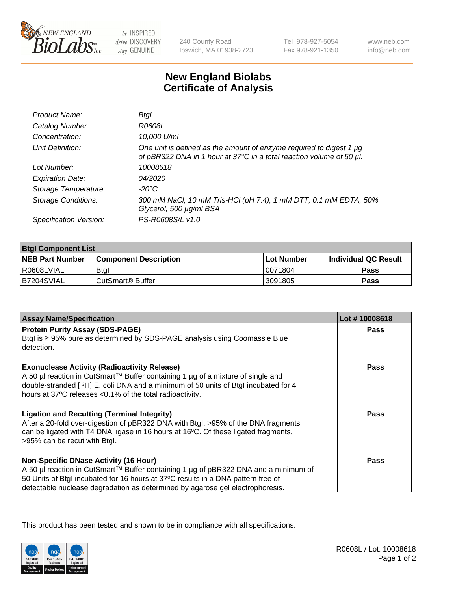

be INSPIRED drive DISCOVERY stay GENUINE

240 County Road Ipswich, MA 01938-2723 Tel 978-927-5054 Fax 978-921-1350

www.neb.com info@neb.com

## **New England Biolabs Certificate of Analysis**

| Product Name:              | Btal                                                                                                                                             |
|----------------------------|--------------------------------------------------------------------------------------------------------------------------------------------------|
| Catalog Number:            | R0608L                                                                                                                                           |
| Concentration:             | 10,000 U/ml                                                                                                                                      |
| Unit Definition:           | One unit is defined as the amount of enzyme required to digest 1 $\mu$ g<br>of pBR322 DNA in 1 hour at 37°C in a total reaction volume of 50 µl. |
| Lot Number:                | 10008618                                                                                                                                         |
| <b>Expiration Date:</b>    | 04/2020                                                                                                                                          |
| Storage Temperature:       | -20°C                                                                                                                                            |
| <b>Storage Conditions:</b> | 300 mM NaCl, 10 mM Tris-HCl (pH 7.4), 1 mM DTT, 0.1 mM EDTA, 50%<br>Glycerol, 500 µg/ml BSA                                                      |
| Specification Version:     | PS-R0608S/L v1.0                                                                                                                                 |

| <b>Btgl Component List</b> |                         |              |                             |  |
|----------------------------|-------------------------|--------------|-----------------------------|--|
| <b>NEB Part Number</b>     | l Component Description | l Lot Number | <b>Individual QC Result</b> |  |
| I R0608LVIAL               | <b>Btgl</b>             | 10071804     | Pass                        |  |
| IB7204SVIAL                | l CutSmart® Buffer_     | 3091805      | Pass                        |  |

| <b>Assay Name/Specification</b>                                                                                                                                         | Lot #10008618 |
|-------------------------------------------------------------------------------------------------------------------------------------------------------------------------|---------------|
| <b>Protein Purity Assay (SDS-PAGE)</b><br>Btgl is ≥ 95% pure as determined by SDS-PAGE analysis using Coomassie Blue                                                    | Pass          |
| detection.                                                                                                                                                              |               |
| <b>Exonuclease Activity (Radioactivity Release)</b>                                                                                                                     | Pass          |
| A 50 µl reaction in CutSmart™ Buffer containing 1 µg of a mixture of single and<br>double-stranded [3H] E. coli DNA and a minimum of 50 units of Btgl incubated for 4   |               |
| hours at 37°C releases <0.1% of the total radioactivity.                                                                                                                |               |
| <b>Ligation and Recutting (Terminal Integrity)</b>                                                                                                                      | Pass          |
| After a 20-fold over-digestion of pBR322 DNA with Btgl, >95% of the DNA fragments<br>can be ligated with T4 DNA ligase in 16 hours at 16°C. Of these ligated fragments, |               |
| >95% can be recut with Btgl.                                                                                                                                            |               |
| <b>Non-Specific DNase Activity (16 Hour)</b>                                                                                                                            | Pass          |
| A 50 µl reaction in CutSmart™ Buffer containing 1 µg of pBR322 DNA and a minimum of                                                                                     |               |
| 50 Units of Btgl incubated for 16 hours at 37°C results in a DNA pattern free of                                                                                        |               |
| detectable nuclease degradation as determined by agarose gel electrophoresis.                                                                                           |               |

This product has been tested and shown to be in compliance with all specifications.